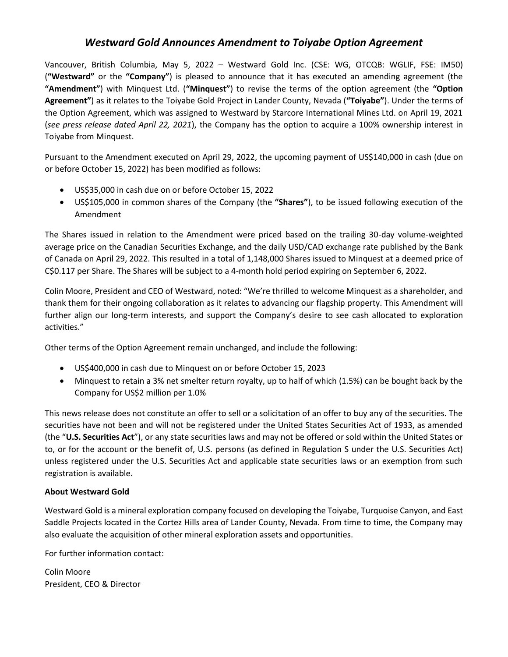## *Westward Gold Announces Amendment to Toiyabe Option Agreement*

Vancouver, British Columbia, May 5, 2022 – Westward Gold Inc. (CSE: WG, OTCQB: WGLIF, FSE: IM50) (**"Westward"** or the **"Company"**) is pleased to announce that it has executed an amending agreement (the **"Amendment"**) with Minquest Ltd. (**"Minquest"**) to revise the terms of the option agreement (the **"Option Agreement"**) as it relates to the Toiyabe Gold Project in Lander County, Nevada (**"Toiyabe"**). Under the terms of the Option Agreement, which was assigned to Westward by Starcore International Mines Ltd. on April 19, 2021 (*see press release dated April 22, 2021*), the Company has the option to acquire a 100% ownership interest in Toiyabe from Minquest.

Pursuant to the Amendment executed on April 29, 2022, the upcoming payment of US\$140,000 in cash (due on or before October 15, 2022) has been modified as follows:

- US\$35,000 in cash due on or before October 15, 2022
- US\$105,000 in common shares of the Company (the **"Shares"**), to be issued following execution of the Amendment

The Shares issued in relation to the Amendment were priced based on the trailing 30-day volume-weighted average price on the Canadian Securities Exchange, and the daily USD/CAD exchange rate published by the Bank of Canada on April 29, 2022. This resulted in a total of 1,148,000 Shares issued to Minquest at a deemed price of C\$0.117 per Share. The Shares will be subject to a 4-month hold period expiring on September 6, 2022.

Colin Moore, President and CEO of Westward, noted: "We're thrilled to welcome Minquest as a shareholder, and thank them for their ongoing collaboration as it relates to advancing our flagship property. This Amendment will further align our long-term interests, and support the Company's desire to see cash allocated to exploration activities."

Other terms of the Option Agreement remain unchanged, and include the following:

- US\$400,000 in cash due to Minquest on or before October 15, 2023
- Minquest to retain a 3% net smelter return royalty, up to half of which (1.5%) can be bought back by the Company for US\$2 million per 1.0%

This news release does not constitute an offer to sell or a solicitation of an offer to buy any of the securities. The securities have not been and will not be registered under the United States Securities Act of 1933, as amended (the "**U.S. Securities Act**"), or any state securities laws and may not be offered or sold within the United States or to, or for the account or the benefit of, U.S. persons (as defined in Regulation S under the U.S. Securities Act) unless registered under the U.S. Securities Act and applicable state securities laws or an exemption from such registration is available.

## **About Westward Gold**

Westward Gold is a mineral exploration company focused on developing the Toiyabe, Turquoise Canyon, and East Saddle Projects located in the Cortez Hills area of Lander County, Nevada. From time to time, the Company may also evaluate the acquisition of other mineral exploration assets and opportunities.

For further information contact:

Colin Moore President, CEO & Director